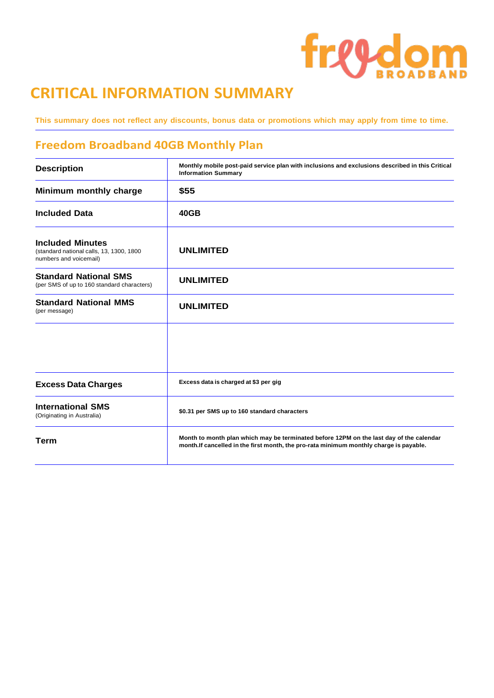# freedom

## **CRITICAL INFORMATION SUMMARY**

This summary does not reflect any discounts, bonus data or promotions which may apply from time to time.

### **Freedom Broadband 40GB Monthly Plan**

| <b>Description</b>                                                                            | Monthly mobile post-paid service plan with inclusions and exclusions described in this Critical<br><b>Information Summary</b>                                                      |
|-----------------------------------------------------------------------------------------------|------------------------------------------------------------------------------------------------------------------------------------------------------------------------------------|
| Minimum monthly charge                                                                        | \$55                                                                                                                                                                               |
| <b>Included Data</b>                                                                          | 40GB                                                                                                                                                                               |
| <b>Included Minutes</b><br>(standard national calls, 13, 1300, 1800<br>numbers and voicemail) | <b>UNLIMITED</b>                                                                                                                                                                   |
| <b>Standard National SMS</b><br>(per SMS of up to 160 standard characters)                    | <b>UNLIMITED</b>                                                                                                                                                                   |
| <b>Standard National MMS</b><br>(per message)                                                 | <b>UNLIMITED</b>                                                                                                                                                                   |
|                                                                                               |                                                                                                                                                                                    |
| <b>Excess Data Charges</b>                                                                    | Excess data is charged at \$3 per gig                                                                                                                                              |
| <b>International SMS</b><br>(Originating in Australia)                                        | \$0.31 per SMS up to 160 standard characters                                                                                                                                       |
| <b>Term</b>                                                                                   | Month to month plan which may be terminated before 12PM on the last day of the calendar<br>month. If cancelled in the first month, the pro-rata minimum monthly charge is payable. |